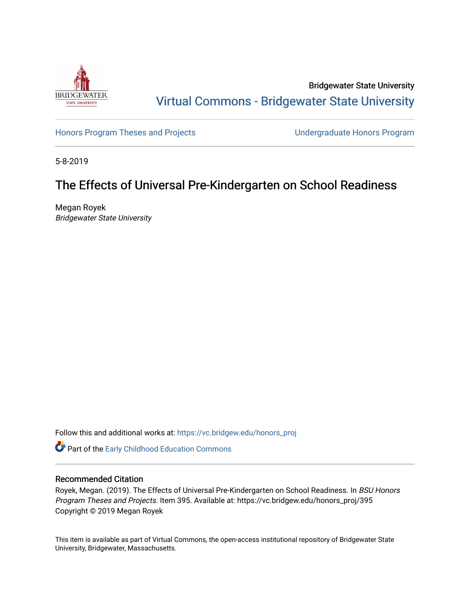

Bridgewater State University [Virtual Commons - Bridgewater State University](https://vc.bridgew.edu/) 

[Honors Program Theses and Projects](https://vc.bridgew.edu/honors_proj) [Undergraduate Honors Program](https://vc.bridgew.edu/honors) 

5-8-2019

# The Effects of Universal Pre-Kindergarten on School Readiness

Megan Royek Bridgewater State University

Follow this and additional works at: [https://vc.bridgew.edu/honors\\_proj](https://vc.bridgew.edu/honors_proj?utm_source=vc.bridgew.edu%2Fhonors_proj%2F395&utm_medium=PDF&utm_campaign=PDFCoverPages)

Part of the [Early Childhood Education Commons](http://network.bepress.com/hgg/discipline/1377?utm_source=vc.bridgew.edu%2Fhonors_proj%2F395&utm_medium=PDF&utm_campaign=PDFCoverPages) 

#### Recommended Citation

Royek, Megan. (2019). The Effects of Universal Pre-Kindergarten on School Readiness. In BSU Honors Program Theses and Projects. Item 395. Available at: https://vc.bridgew.edu/honors\_proj/395 Copyright © 2019 Megan Royek

This item is available as part of Virtual Commons, the open-access institutional repository of Bridgewater State University, Bridgewater, Massachusetts.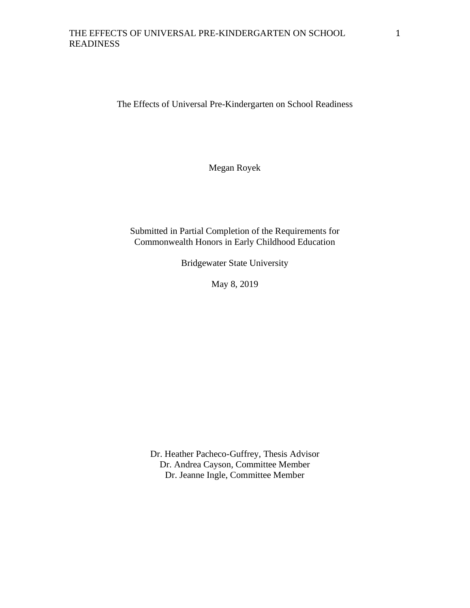The Effects of Universal Pre-Kindergarten on School Readiness

Megan Royek

# Submitted in Partial Completion of the Requirements for Commonwealth Honors in Early Childhood Education

Bridgewater State University

May 8, 2019

Dr. Heather Pacheco-Guffrey, Thesis Advisor Dr. Andrea Cayson, Committee Member Dr. Jeanne Ingle, Committee Member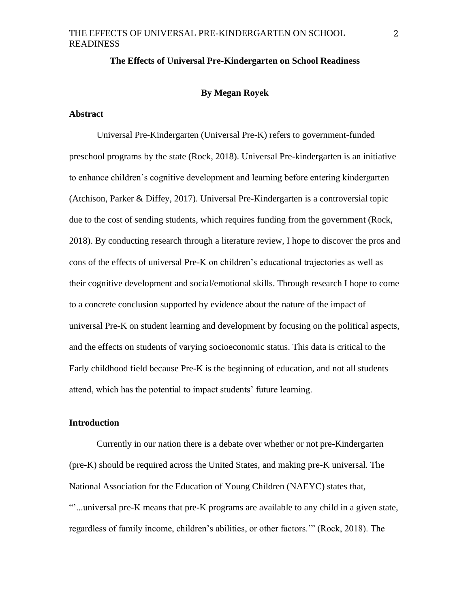#### **The Effects of Universal Pre-Kindergarten on School Readiness**

#### **By Megan Royek**

#### **Abstract**

Universal Pre-Kindergarten (Universal Pre-K) refers to government-funded preschool programs by the state (Rock, 2018). Universal Pre-kindergarten is an initiative to enhance children's cognitive development and learning before entering kindergarten (Atchison, Parker & Diffey, 2017). Universal Pre-Kindergarten is a controversial topic due to the cost of sending students, which requires funding from the government (Rock, 2018). By conducting research through a literature review, I hope to discover the pros and cons of the effects of universal Pre-K on children's educational trajectories as well as their cognitive development and social/emotional skills. Through research I hope to come to a concrete conclusion supported by evidence about the nature of the impact of universal Pre-K on student learning and development by focusing on the political aspects, and the effects on students of varying socioeconomic status. This data is critical to the Early childhood field because Pre-K is the beginning of education, and not all students attend, which has the potential to impact students' future learning.

#### **Introduction**

Currently in our nation there is a debate over whether or not pre-Kindergarten (pre-K) should be required across the United States, and making pre-K universal. The National Association for the Education of Young Children (NAEYC) states that, "'...universal pre-K means that pre-K programs are available to any child in a given state, regardless of family income, children's abilities, or other factors.'" (Rock, 2018). The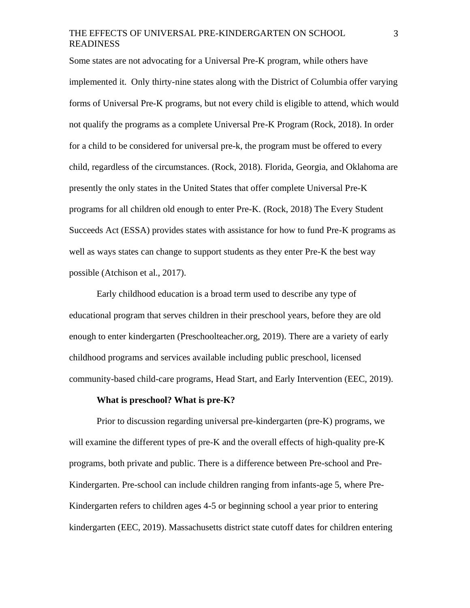Some states are not advocating for a Universal Pre-K program, while others have implemented it. Only thirty-nine states along with the District of Columbia offer varying forms of Universal Pre-K programs, but not every child is eligible to attend, which would not qualify the programs as a complete Universal Pre-K Program (Rock, 2018). In order for a child to be considered for universal pre-k, the program must be offered to every child, regardless of the circumstances. (Rock, 2018). Florida, Georgia, and Oklahoma are presently the only states in the United States that offer complete Universal Pre-K programs for all children old enough to enter Pre-K. (Rock, 2018) The Every Student Succeeds Act (ESSA) provides states with assistance for how to fund Pre-K programs as well as ways states can change to support students as they enter Pre-K the best way possible (Atchison et al., 2017).

Early childhood education is a broad term used to describe any type of educational program that serves children in their preschool years, before they are old enough to enter kindergarten (Preschoolteacher.org, 2019). There are a variety of early childhood programs and services available including public preschool, licensed community-based child-care programs, Head Start, and Early Intervention (EEC, 2019).

#### **What is preschool? What is pre-K?**

Prior to discussion regarding universal pre-kindergarten (pre-K) programs, we will examine the different types of pre-K and the overall effects of high-quality pre-K programs, both private and public. There is a difference between Pre-school and Pre-Kindergarten. Pre-school can include children ranging from infants-age 5, where Pre-Kindergarten refers to children ages 4-5 or beginning school a year prior to entering kindergarten (EEC, 2019). Massachusetts district state cutoff dates for children entering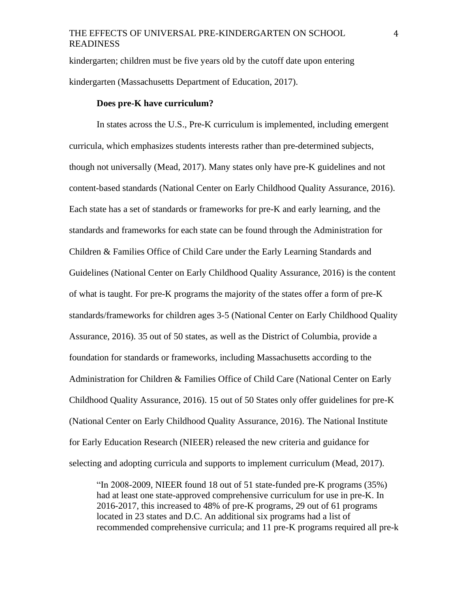kindergarten; children must be five years old by the cutoff date upon entering kindergarten (Massachusetts Department of Education, 2017).

#### **Does pre-K have curriculum?**

In states across the U.S., Pre-K curriculum is implemented, including emergent curricula, which emphasizes students interests rather than pre-determined subjects, though not universally (Mead, 2017). Many states only have pre-K guidelines and not content-based standards (National Center on Early Childhood Quality Assurance, 2016). Each state has a set of standards or frameworks for pre-K and early learning, and the standards and frameworks for each state can be found through the Administration for Children & Families Office of Child Care under the Early Learning Standards and Guidelines (National Center on Early Childhood Quality Assurance, 2016) is the content of what is taught. For pre-K programs the majority of the states offer a form of pre-K standards/frameworks for children ages 3-5 (National Center on Early Childhood Quality Assurance, 2016). 35 out of 50 states, as well as the District of Columbia, provide a foundation for standards or frameworks, including Massachusetts according to the Administration for Children & Families Office of Child Care (National Center on Early Childhood Quality Assurance, 2016). 15 out of 50 States only offer guidelines for pre-K (National Center on Early Childhood Quality Assurance, 2016). The National Institute for Early Education Research (NIEER) released the new criteria and guidance for selecting and adopting curricula and supports to implement curriculum (Mead, 2017).

"In 2008-2009, NIEER found 18 out of 51 state-funded pre-K programs (35%) had at least one state-approved comprehensive curriculum for use in pre-K. In 2016-2017, this increased to 48% of pre-K programs, 29 out of 61 programs located in 23 states and D.C. An additional six programs had a list of recommended comprehensive curricula; and 11 pre-K programs required all pre-k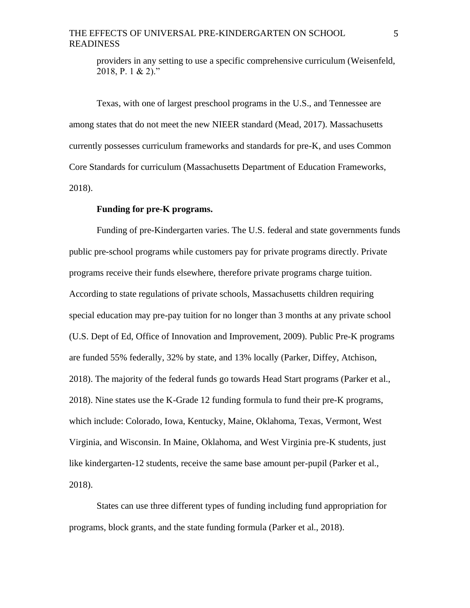providers in any setting to use a specific comprehensive curriculum (Weisenfeld, 2018, P. 1 & 2)."

Texas, with one of largest preschool programs in the U.S., and Tennessee are among states that do not meet the new NIEER standard (Mead, 2017). Massachusetts currently possesses curriculum frameworks and standards for pre-K, and uses Common Core Standards for curriculum (Massachusetts Department of Education Frameworks, 2018).

#### **Funding for pre-K programs.**

Funding of pre-Kindergarten varies. The U.S. federal and state governments funds public pre-school programs while customers pay for private programs directly. Private programs receive their funds elsewhere, therefore private programs charge tuition. According to state regulations of private schools, Massachusetts children requiring special education may pre-pay tuition for no longer than 3 months at any private school (U.S. Dept of Ed, Office of Innovation and Improvement, 2009). Public Pre-K programs are funded 55% federally, 32% by state, and 13% locally (Parker, Diffey, Atchison, 2018). The majority of the federal funds go towards Head Start programs (Parker et al., 2018). Nine states use the K-Grade 12 funding formula to fund their pre-K programs, which include: Colorado, Iowa, Kentucky, Maine, Oklahoma, Texas, Vermont, West Virginia, and Wisconsin. In Maine, Oklahoma, and West Virginia pre-K students, just like kindergarten-12 students, receive the same base amount per-pupil (Parker et al., 2018).

States can use three different types of funding including fund appropriation for programs, block grants, and the state funding formula (Parker et al., 2018).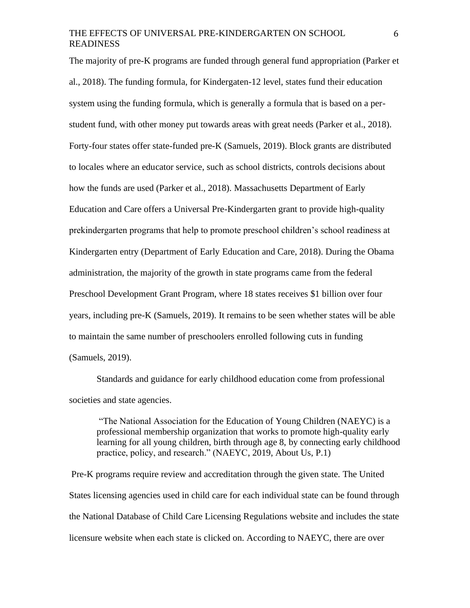The majority of pre-K programs are funded through general fund appropriation (Parker et al., 2018). The funding formula, for Kindergaten-12 level, states fund their education system using the funding formula, which is generally a formula that is based on a perstudent fund, with other money put towards areas with great needs (Parker et al., 2018). Forty-four states offer state-funded pre-K (Samuels, 2019). Block grants are distributed to locales where an educator service, such as school districts, controls decisions about how the funds are used (Parker et al., 2018). Massachusetts Department of Early Education and Care offers a Universal Pre-Kindergarten grant to provide high-quality prekindergarten programs that help to promote preschool children's school readiness at Kindergarten entry (Department of Early Education and Care, 2018). During the Obama administration, the majority of the growth in state programs came from the federal Preschool Development Grant Program, where 18 states receives \$1 billion over four years, including pre-K (Samuels, 2019). It remains to be seen whether states will be able to maintain the same number of preschoolers enrolled following cuts in funding (Samuels, 2019).

Standards and guidance for early childhood education come from professional societies and state agencies.

"The National Association for the Education of Young Children (NAEYC) is a professional membership organization that works to promote high-quality early learning for all young children, birth through age 8, by connecting early childhood practice, policy, and research." (NAEYC, 2019, About Us, P.1)

Pre-K programs require review and accreditation through the given state. The United States licensing agencies used in child care for each individual state can be found through the National Database of Child Care Licensing Regulations website and includes the state licensure website when each state is clicked on. According to NAEYC, there are over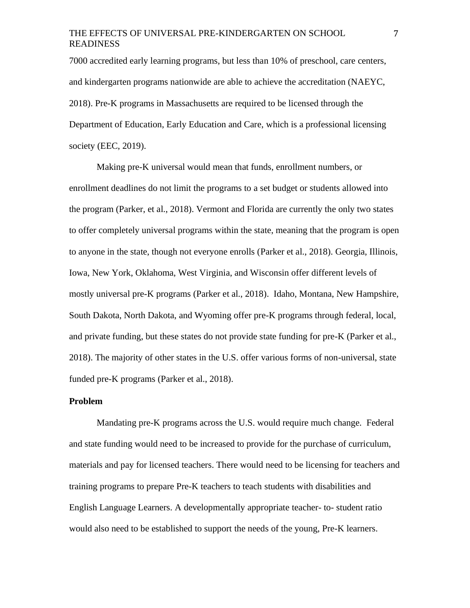7000 accredited early learning programs, but less than 10% of preschool, care centers, and kindergarten programs nationwide are able to achieve the accreditation (NAEYC, 2018). Pre-K programs in Massachusetts are required to be licensed through the Department of Education, Early Education and Care, which is a professional licensing society (EEC, 2019).

Making pre-K universal would mean that funds, enrollment numbers, or enrollment deadlines do not limit the programs to a set budget or students allowed into the program (Parker, et al., 2018). Vermont and Florida are currently the only two states to offer completely universal programs within the state, meaning that the program is open to anyone in the state, though not everyone enrolls (Parker et al., 2018). Georgia, Illinois, Iowa, New York, Oklahoma, West Virginia, and Wisconsin offer different levels of mostly universal pre-K programs (Parker et al., 2018). Idaho, Montana, New Hampshire, South Dakota, North Dakota, and Wyoming offer pre-K programs through federal, local, and private funding, but these states do not provide state funding for pre-K (Parker et al., 2018). The majority of other states in the U.S. offer various forms of non-universal, state funded pre-K programs (Parker et al., 2018).

#### **Problem**

Mandating pre-K programs across the U.S. would require much change. Federal and state funding would need to be increased to provide for the purchase of curriculum, materials and pay for licensed teachers. There would need to be licensing for teachers and training programs to prepare Pre-K teachers to teach students with disabilities and English Language Learners. A developmentally appropriate teacher- to- student ratio would also need to be established to support the needs of the young, Pre-K learners.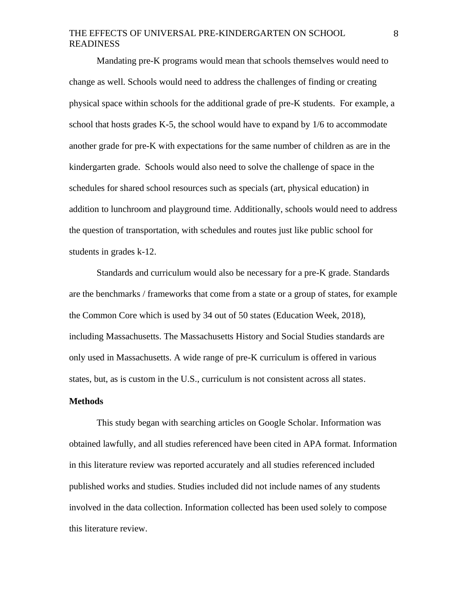Mandating pre-K programs would mean that schools themselves would need to change as well. Schools would need to address the challenges of finding or creating physical space within schools for the additional grade of pre-K students. For example, a school that hosts grades K-5, the school would have to expand by 1/6 to accommodate another grade for pre-K with expectations for the same number of children as are in the kindergarten grade. Schools would also need to solve the challenge of space in the schedules for shared school resources such as specials (art, physical education) in addition to lunchroom and playground time. Additionally, schools would need to address the question of transportation, with schedules and routes just like public school for students in grades k-12.

Standards and curriculum would also be necessary for a pre-K grade. Standards are the benchmarks / frameworks that come from a state or a group of states, for example the Common Core which is used by 34 out of 50 states (Education Week, 2018), including Massachusetts. The Massachusetts History and Social Studies standards are only used in Massachusetts. A wide range of pre-K curriculum is offered in various states, but, as is custom in the U.S., curriculum is not consistent across all states.

#### **Methods**

This study began with searching articles on Google Scholar. Information was obtained lawfully, and all studies referenced have been cited in APA format. Information in this literature review was reported accurately and all studies referenced included published works and studies. Studies included did not include names of any students involved in the data collection. Information collected has been used solely to compose this literature review.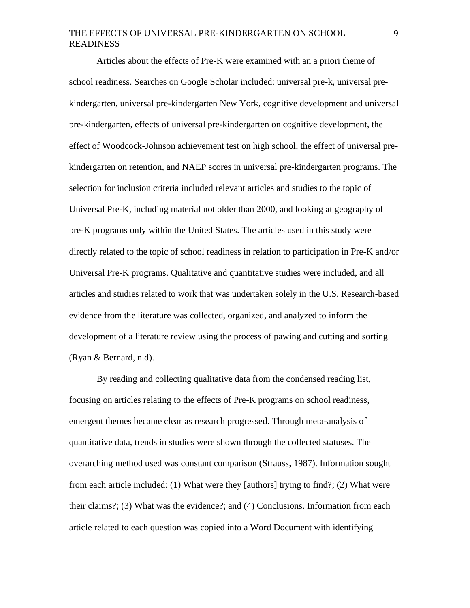Articles about the effects of Pre-K were examined with an a priori theme of school readiness. Searches on Google Scholar included: universal pre-k, universal prekindergarten, universal pre-kindergarten New York, cognitive development and universal pre-kindergarten, effects of universal pre-kindergarten on cognitive development, the effect of Woodcock-Johnson achievement test on high school, the effect of universal prekindergarten on retention, and NAEP scores in universal pre-kindergarten programs. The selection for inclusion criteria included relevant articles and studies to the topic of Universal Pre-K, including material not older than 2000, and looking at geography of pre-K programs only within the United States. The articles used in this study were directly related to the topic of school readiness in relation to participation in Pre-K and/or Universal Pre-K programs. Qualitative and quantitative studies were included, and all articles and studies related to work that was undertaken solely in the U.S. Research-based evidence from the literature was collected, organized, and analyzed to inform the development of a literature review using the process of pawing and cutting and sorting (Ryan & Bernard, n.d).

By reading and collecting qualitative data from the condensed reading list, focusing on articles relating to the effects of Pre-K programs on school readiness, emergent themes became clear as research progressed. Through meta-analysis of quantitative data, trends in studies were shown through the collected statuses. The overarching method used was constant comparison (Strauss, 1987). Information sought from each article included: (1) What were they [authors] trying to find?; (2) What were their claims?; (3) What was the evidence?; and (4) Conclusions. Information from each article related to each question was copied into a Word Document with identifying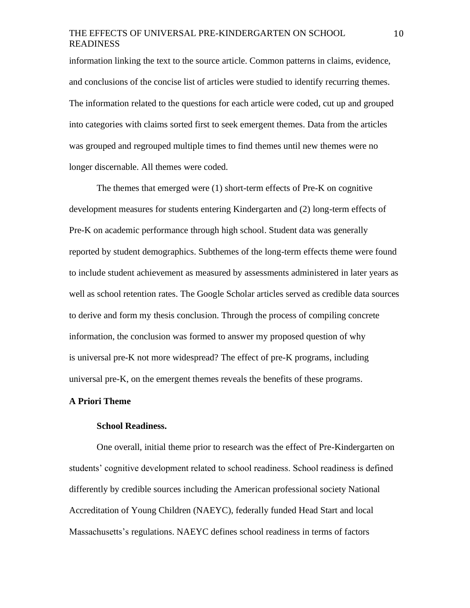information linking the text to the source article. Common patterns in claims, evidence, and conclusions of the concise list of articles were studied to identify recurring themes. The information related to the questions for each article were coded, cut up and grouped into categories with claims sorted first to seek emergent themes. Data from the articles was grouped and regrouped multiple times to find themes until new themes were no longer discernable. All themes were coded.

The themes that emerged were (1) short-term effects of Pre-K on cognitive development measures for students entering Kindergarten and (2) long-term effects of Pre-K on academic performance through high school. Student data was generally reported by student demographics. Subthemes of the long-term effects theme were found to include student achievement as measured by assessments administered in later years as well as school retention rates. The Google Scholar articles served as credible data sources to derive and form my thesis conclusion. Through the process of compiling concrete information, the conclusion was formed to answer my proposed question of why is universal pre-K not more widespread? The effect of pre-K programs, including universal pre-K, on the emergent themes reveals the benefits of these programs.

#### **A Priori Theme**

#### **School Readiness.**

One overall, initial theme prior to research was the effect of Pre-Kindergarten on students' cognitive development related to school readiness. School readiness is defined differently by credible sources including the American professional society National Accreditation of Young Children (NAEYC), federally funded Head Start and local Massachusetts's regulations. NAEYC defines school readiness in terms of factors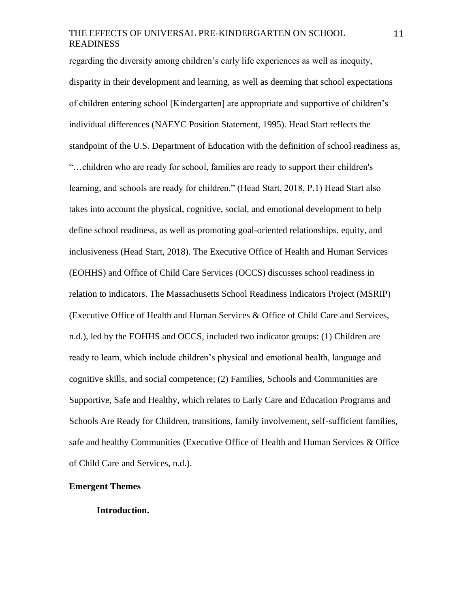regarding the diversity among children's early life experiences as well as inequity, disparity in their development and learning, as well as deeming that school expectations of children entering school [Kindergarten] are appropriate and supportive of children's individual differences (NAEYC Position Statement, 1995). Head Start reflects the standpoint of the U.S. Department of Education with the definition of school readiness as, "…children who are ready for school, families are ready to support their children's learning, and schools are ready for children." (Head Start, 2018, P.1) Head Start also takes into account the physical, cognitive, social, and emotional development to help define school readiness, as well as promoting goal-oriented relationships, equity, and inclusiveness (Head Start, 2018). The Executive Office of Health and Human Services (EOHHS) and Office of Child Care Services (OCCS) discusses school readiness in relation to indicators. The Massachusetts School Readiness Indicators Project (MSRIP) (Executive Office of Health and Human Services & Office of Child Care and Services, n.d.), led by the EOHHS and OCCS, included two indicator groups: (1) Children are ready to learn, which include children's physical and emotional health, language and cognitive skills, and social competence; (2) Families, Schools and Communities are Supportive, Safe and Healthy, which relates to Early Care and Education Programs and Schools Are Ready for Children, transitions, family involvement, self-sufficient families, safe and healthy Communities (Executive Office of Health and Human Services & Office of Child Care and Services, n.d.).

#### **Emergent Themes**

#### **Introduction.**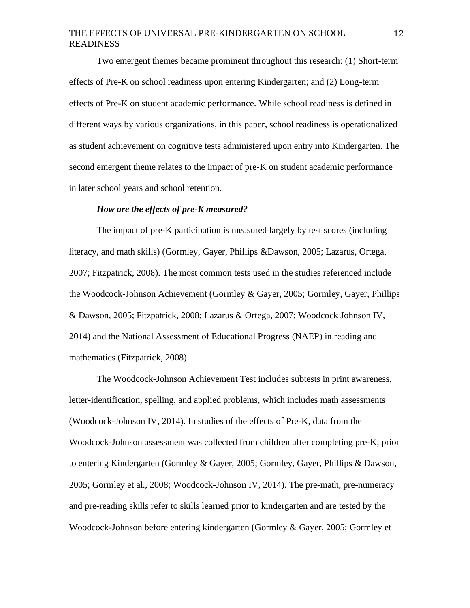Two emergent themes became prominent throughout this research: (1) Short-term effects of Pre-K on school readiness upon entering Kindergarten; and (2) Long-term effects of Pre-K on student academic performance. While school readiness is defined in different ways by various organizations, in this paper, school readiness is operationalized as student achievement on cognitive tests administered upon entry into Kindergarten. The second emergent theme relates to the impact of pre-K on student academic performance in later school years and school retention.

#### *How are the effects of pre-K measured?*

The impact of pre-K participation is measured largely by test scores (including literacy, and math skills) (Gormley, Gayer, Phillips &Dawson, 2005; Lazarus, Ortega, 2007; Fitzpatrick, 2008). The most common tests used in the studies referenced include the Woodcock-Johnson Achievement (Gormley & Gayer, 2005; Gormley, Gayer, Phillips & Dawson, 2005; Fitzpatrick, 2008; Lazarus & Ortega, 2007; Woodcock Johnson IV, 2014) and the National Assessment of Educational Progress (NAEP) in reading and mathematics (Fitzpatrick, 2008).

The Woodcock-Johnson Achievement Test includes subtests in print awareness, letter-identification, spelling, and applied problems, which includes math assessments (Woodcock-Johnson IV, 2014). In studies of the effects of Pre-K, data from the Woodcock-Johnson assessment was collected from children after completing pre-K, prior to entering Kindergarten (Gormley & Gayer, 2005; Gormley, Gayer, Phillips & Dawson, 2005; Gormley et al., 2008; Woodcock-Johnson IV, 2014). The pre-math, pre-numeracy and pre-reading skills refer to skills learned prior to kindergarten and are tested by the Woodcock-Johnson before entering kindergarten (Gormley & Gayer, 2005; Gormley et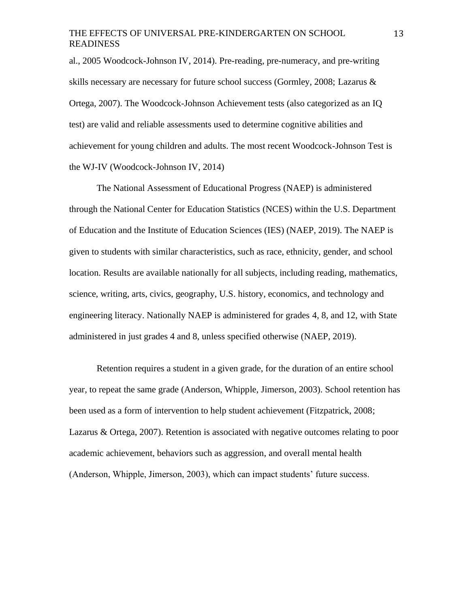al., 2005 Woodcock-Johnson IV, 2014). Pre-reading, pre-numeracy, and pre-writing skills necessary are necessary for future school success (Gormley, 2008; Lazarus & Ortega, 2007). The Woodcock-Johnson Achievement tests (also categorized as an IQ test) are valid and reliable assessments used to determine cognitive abilities and achievement for young children and adults. The most recent Woodcock-Johnson Test is the WJ-IV (Woodcock-Johnson IV, 2014)

The National Assessment of Educational Progress (NAEP) is administered through the National Center for Education Statistics (NCES) within the U.S. Department of Education and the Institute of Education Sciences (IES) (NAEP, 2019). The NAEP is given to students with similar characteristics, such as race, ethnicity, gender, and school location. Results are available nationally for all subjects, including reading, mathematics, science, writing, arts, civics, geography, U.S. history, economics, and technology and engineering literacy. Nationally NAEP is administered for grades 4, 8, and 12, with State administered in just grades 4 and 8, unless specified otherwise (NAEP, 2019).

Retention requires a student in a given grade, for the duration of an entire school year, to repeat the same grade (Anderson, Whipple, Jimerson, 2003). School retention has been used as a form of intervention to help student achievement (Fitzpatrick, 2008; Lazarus & Ortega, 2007). Retention is associated with negative outcomes relating to poor academic achievement, behaviors such as aggression, and overall mental health (Anderson, Whipple, Jimerson, 2003), which can impact students' future success.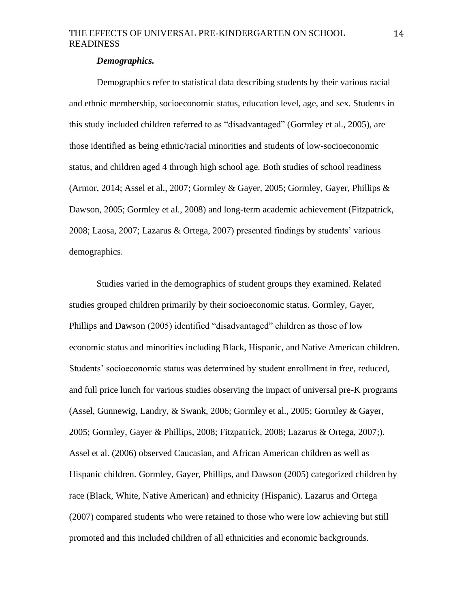#### *Demographics.*

Demographics refer to statistical data describing students by their various racial and ethnic membership, socioeconomic status, education level, age, and sex. Students in this study included children referred to as "disadvantaged" (Gormley et al., 2005), are those identified as being ethnic/racial minorities and students of low-socioeconomic status, and children aged 4 through high school age. Both studies of school readiness (Armor, 2014; Assel et al., 2007; Gormley & Gayer, 2005; Gormley, Gayer, Phillips & Dawson, 2005; Gormley et al., 2008) and long-term academic achievement (Fitzpatrick, 2008; Laosa, 2007; Lazarus & Ortega, 2007) presented findings by students' various demographics.

Studies varied in the demographics of student groups they examined. Related studies grouped children primarily by their socioeconomic status. Gormley, Gayer, Phillips and Dawson (2005) identified "disadvantaged" children as those of low economic status and minorities including Black, Hispanic, and Native American children. Students' socioeconomic status was determined by student enrollment in free, reduced, and full price lunch for various studies observing the impact of universal pre-K programs (Assel, Gunnewig, Landry, & Swank, 2006; Gormley et al., 2005; Gormley & Gayer, 2005; Gormley, Gayer & Phillips, 2008; Fitzpatrick, 2008; Lazarus & Ortega, 2007;). Assel et al. (2006) observed Caucasian, and African American children as well as Hispanic children. Gormley, Gayer, Phillips, and Dawson (2005) categorized children by race (Black, White, Native American) and ethnicity (Hispanic). Lazarus and Ortega (2007) compared students who were retained to those who were low achieving but still promoted and this included children of all ethnicities and economic backgrounds.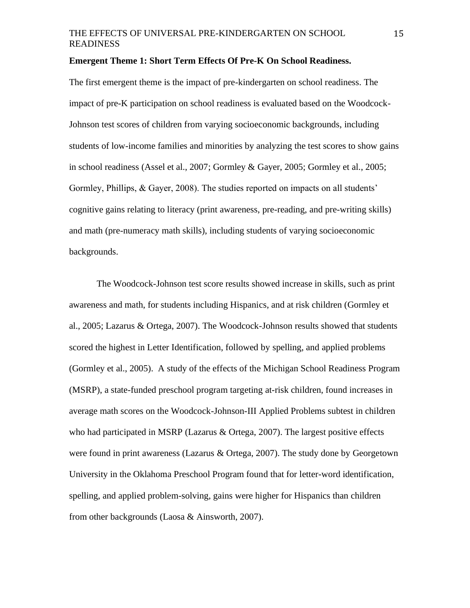#### **Emergent Theme 1: Short Term Effects Of Pre-K On School Readiness.**

The first emergent theme is the impact of pre-kindergarten on school readiness. The impact of pre-K participation on school readiness is evaluated based on the Woodcock-Johnson test scores of children from varying socioeconomic backgrounds, including students of low-income families and minorities by analyzing the test scores to show gains in school readiness (Assel et al., 2007; Gormley & Gayer, 2005; Gormley et al., 2005; Gormley, Phillips, & Gayer, 2008). The studies reported on impacts on all students' cognitive gains relating to literacy (print awareness, pre-reading, and pre-writing skills) and math (pre-numeracy math skills), including students of varying socioeconomic backgrounds.

The Woodcock-Johnson test score results showed increase in skills, such as print awareness and math, for students including Hispanics, and at risk children (Gormley et al., 2005; Lazarus & Ortega, 2007). The Woodcock-Johnson results showed that students scored the highest in Letter Identification, followed by spelling, and applied problems (Gormley et al., 2005). A study of the effects of the Michigan School Readiness Program (MSRP), a state-funded preschool program targeting at-risk children, found increases in average math scores on the Woodcock-Johnson-III Applied Problems subtest in children who had participated in MSRP (Lazarus & Ortega, 2007). The largest positive effects were found in print awareness (Lazarus & Ortega, 2007). The study done by Georgetown University in the Oklahoma Preschool Program found that for letter-word identification, spelling, and applied problem-solving, gains were higher for Hispanics than children from other backgrounds (Laosa & Ainsworth, 2007).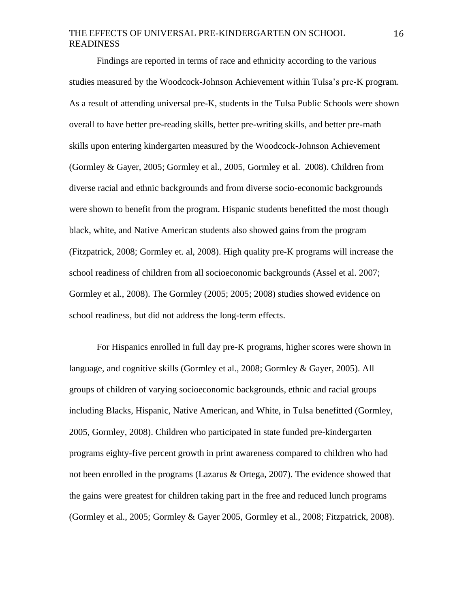Findings are reported in terms of race and ethnicity according to the various studies measured by the Woodcock-Johnson Achievement within Tulsa's pre-K program. As a result of attending universal pre-K, students in the Tulsa Public Schools were shown overall to have better pre-reading skills, better pre-writing skills, and better pre-math skills upon entering kindergarten measured by the Woodcock-Johnson Achievement (Gormley & Gayer, 2005; Gormley et al., 2005, Gormley et al. 2008). Children from diverse racial and ethnic backgrounds and from diverse socio-economic backgrounds were shown to benefit from the program. Hispanic students benefitted the most though black, white, and Native American students also showed gains from the program (Fitzpatrick, 2008; Gormley et. al, 2008). High quality pre-K programs will increase the school readiness of children from all socioeconomic backgrounds (Assel et al. 2007; Gormley et al., 2008). The Gormley (2005; 2005; 2008) studies showed evidence on school readiness, but did not address the long-term effects.

For Hispanics enrolled in full day pre-K programs, higher scores were shown in language, and cognitive skills (Gormley et al., 2008; Gormley & Gayer, 2005). All groups of children of varying socioeconomic backgrounds, ethnic and racial groups including Blacks, Hispanic, Native American, and White, in Tulsa benefitted (Gormley, 2005, Gormley, 2008). Children who participated in state funded pre-kindergarten programs eighty-five percent growth in print awareness compared to children who had not been enrolled in the programs (Lazarus & Ortega, 2007). The evidence showed that the gains were greatest for children taking part in the free and reduced lunch programs (Gormley et al., 2005; Gormley & Gayer 2005, Gormley et al., 2008; Fitzpatrick, 2008).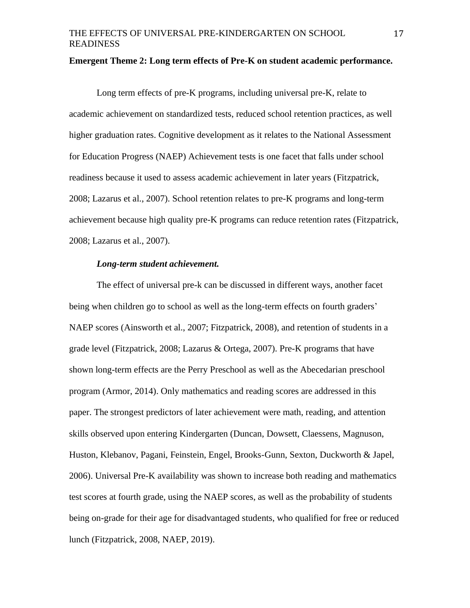#### **Emergent Theme 2: Long term effects of Pre-K on student academic performance.**

Long term effects of pre-K programs, including universal pre-K, relate to academic achievement on standardized tests, reduced school retention practices, as well higher graduation rates. Cognitive development as it relates to the National Assessment for Education Progress (NAEP) Achievement tests is one facet that falls under school readiness because it used to assess academic achievement in later years (Fitzpatrick, 2008; Lazarus et al., 2007). School retention relates to pre-K programs and long-term achievement because high quality pre-K programs can reduce retention rates (Fitzpatrick, 2008; Lazarus et al., 2007).

#### *Long-term student achievement.*

The effect of universal pre-k can be discussed in different ways, another facet being when children go to school as well as the long-term effects on fourth graders' NAEP scores (Ainsworth et al., 2007; Fitzpatrick, 2008), and retention of students in a grade level (Fitzpatrick, 2008; Lazarus & Ortega, 2007). Pre-K programs that have shown long-term effects are the Perry Preschool as well as the Abecedarian preschool program (Armor, 2014). Only mathematics and reading scores are addressed in this paper. The strongest predictors of later achievement were math, reading, and attention skills observed upon entering Kindergarten (Duncan, Dowsett, Claessens, Magnuson, Huston, Klebanov, Pagani, Feinstein, Engel, Brooks-Gunn, Sexton, Duckworth & Japel, 2006). Universal Pre-K availability was shown to increase both reading and mathematics test scores at fourth grade, using the NAEP scores, as well as the probability of students being on-grade for their age for disadvantaged students, who qualified for free or reduced lunch (Fitzpatrick, 2008, NAEP, 2019).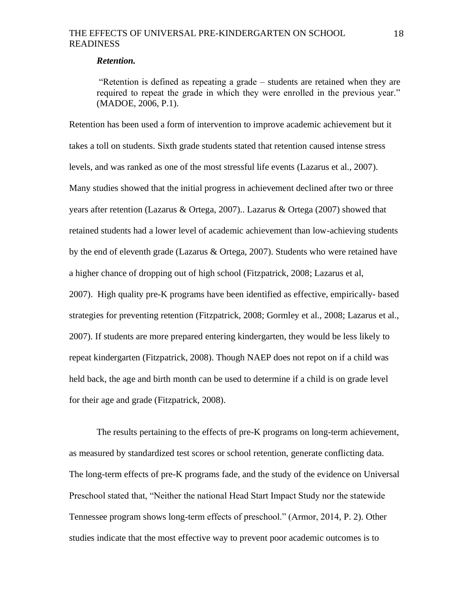#### *Retention.*

"Retention is defined as repeating a grade – students are retained when they are required to repeat the grade in which they were enrolled in the previous year." (MADOE, 2006, P.1).

Retention has been used a form of intervention to improve academic achievement but it takes a toll on students. Sixth grade students stated that retention caused intense stress levels, and was ranked as one of the most stressful life events (Lazarus et al., 2007). Many studies showed that the initial progress in achievement declined after two or three years after retention (Lazarus & Ortega, 2007).. Lazarus & Ortega (2007) showed that retained students had a lower level of academic achievement than low-achieving students by the end of eleventh grade (Lazarus & Ortega, 2007). Students who were retained have a higher chance of dropping out of high school (Fitzpatrick, 2008; Lazarus et al, 2007). High quality pre-K programs have been identified as effective, empirically- based strategies for preventing retention (Fitzpatrick, 2008; Gormley et al., 2008; Lazarus et al., 2007). If students are more prepared entering kindergarten, they would be less likely to repeat kindergarten (Fitzpatrick, 2008). Though NAEP does not repot on if a child was held back, the age and birth month can be used to determine if a child is on grade level for their age and grade (Fitzpatrick, 2008).

The results pertaining to the effects of pre-K programs on long-term achievement, as measured by standardized test scores or school retention, generate conflicting data. The long-term effects of pre-K programs fade, and the study of the evidence on Universal Preschool stated that, "Neither the national Head Start Impact Study nor the statewide Tennessee program shows long-term effects of preschool." (Armor, 2014, P. 2). Other studies indicate that the most effective way to prevent poor academic outcomes is to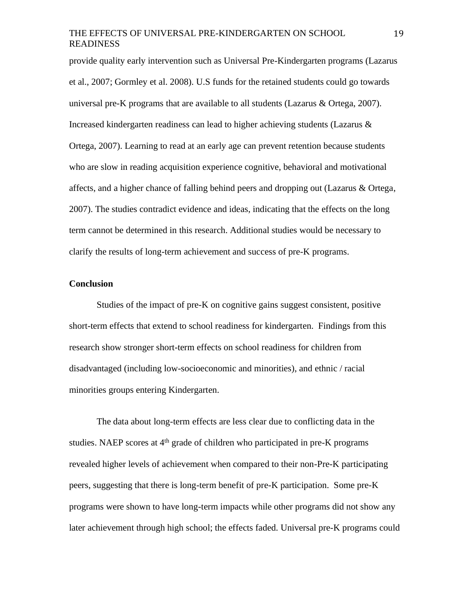provide quality early intervention such as Universal Pre-Kindergarten programs (Lazarus et al., 2007; Gormley et al. 2008). U.S funds for the retained students could go towards universal pre-K programs that are available to all students (Lazarus & Ortega, 2007). Increased kindergarten readiness can lead to higher achieving students (Lazarus & Ortega, 2007). Learning to read at an early age can prevent retention because students who are slow in reading acquisition experience cognitive, behavioral and motivational affects, and a higher chance of falling behind peers and dropping out (Lazarus & Ortega, 2007). The studies contradict evidence and ideas, indicating that the effects on the long term cannot be determined in this research. Additional studies would be necessary to clarify the results of long-term achievement and success of pre-K programs.

#### **Conclusion**

Studies of the impact of pre-K on cognitive gains suggest consistent, positive short-term effects that extend to school readiness for kindergarten. Findings from this research show stronger short-term effects on school readiness for children from disadvantaged (including low-socioeconomic and minorities), and ethnic / racial minorities groups entering Kindergarten.

The data about long-term effects are less clear due to conflicting data in the studies. NAEP scores at 4<sup>th</sup> grade of children who participated in pre-K programs revealed higher levels of achievement when compared to their non-Pre-K participating peers, suggesting that there is long-term benefit of pre-K participation. Some pre-K programs were shown to have long-term impacts while other programs did not show any later achievement through high school; the effects faded. Universal pre-K programs could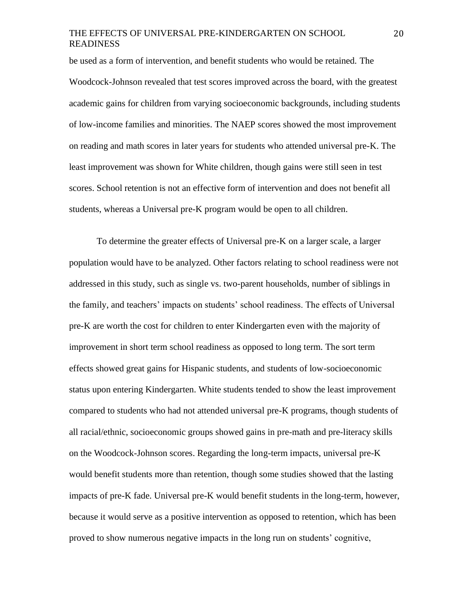be used as a form of intervention, and benefit students who would be retained. The Woodcock-Johnson revealed that test scores improved across the board, with the greatest academic gains for children from varying socioeconomic backgrounds, including students of low-income families and minorities. The NAEP scores showed the most improvement on reading and math scores in later years for students who attended universal pre-K. The least improvement was shown for White children, though gains were still seen in test scores. School retention is not an effective form of intervention and does not benefit all students, whereas a Universal pre-K program would be open to all children.

To determine the greater effects of Universal pre-K on a larger scale, a larger population would have to be analyzed. Other factors relating to school readiness were not addressed in this study, such as single vs. two-parent households, number of siblings in the family, and teachers' impacts on students' school readiness. The effects of Universal pre-K are worth the cost for children to enter Kindergarten even with the majority of improvement in short term school readiness as opposed to long term. The sort term effects showed great gains for Hispanic students, and students of low-socioeconomic status upon entering Kindergarten. White students tended to show the least improvement compared to students who had not attended universal pre-K programs, though students of all racial/ethnic, socioeconomic groups showed gains in pre-math and pre-literacy skills on the Woodcock-Johnson scores. Regarding the long-term impacts, universal pre-K would benefit students more than retention, though some studies showed that the lasting impacts of pre-K fade. Universal pre-K would benefit students in the long-term, however, because it would serve as a positive intervention as opposed to retention, which has been proved to show numerous negative impacts in the long run on students' cognitive,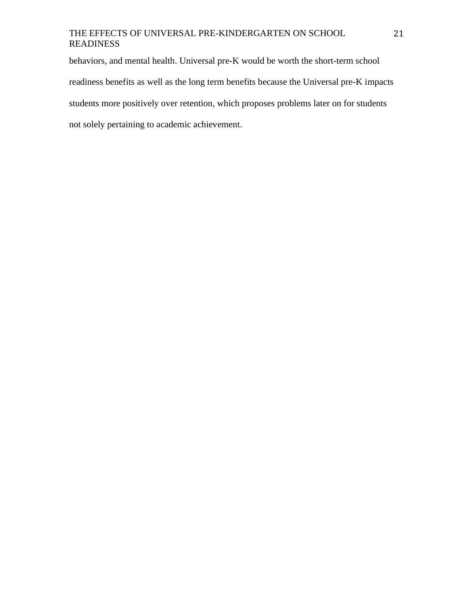behaviors, and mental health. Universal pre-K would be worth the short-term school readiness benefits as well as the long term benefits because the Universal pre-K impacts students more positively over retention, which proposes problems later on for students not solely pertaining to academic achievement.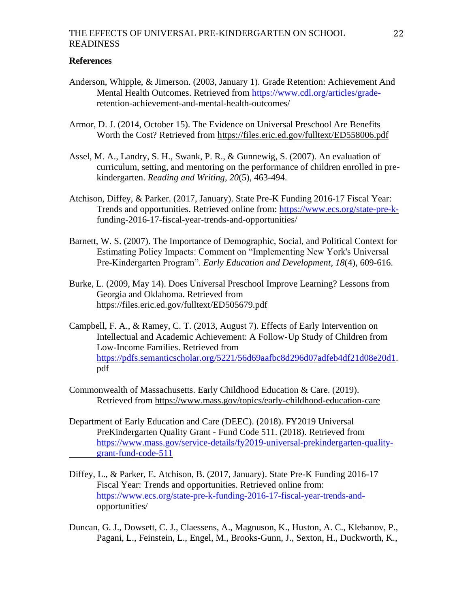#### **References**

- Anderson, Whipple, & Jimerson. (2003, January 1). Grade Retention: Achievement And Mental Health Outcomes. Retrieved from [https://www.cdl.org/articles/grade](https://www.cdl.org/articles/grade-)retention-achievement-and-mental-health-outcomes/
- Armor, D. J. (2014, October 15). The Evidence on Universal Preschool Are Benefits Worth the Cost? Retrieved from<https://files.eric.ed.gov/fulltext/ED558006.pdf>
- Assel, M. A., Landry, S. H., Swank, P. R., & Gunnewig, S. (2007). An evaluation of curriculum, setting, and mentoring on the performance of children enrolled in prekindergarten. *Reading and Writing*, *20*(5), 463-494.
- Atchison, Diffey, & Parker. (2017, January). State Pre-K Funding 2016-17 Fiscal Year: Trends and opportunities. Retrieved online from: [https://www.ecs.org/state-pre-k](https://www.ecs.org/state-pre-k-)funding-2016-17-fiscal-year-trends-and-opportunities/
- Barnett, W. S. (2007). The Importance of Demographic, Social, and Political Context for Estimating Policy Impacts: Comment on "Implementing New York's Universal Pre-Kindergarten Program". *Early Education and Development*, *18*(4), 609-616.
- Burke, L. (2009, May 14). Does Universal Preschool Improve Learning? Lessons from Georgia and Oklahoma. Retrieved from <https://files.eric.ed.gov/fulltext/ED505679.pdf>
- Campbell, F. A., & Ramey, C. T. (2013, August 7). Effects of Early Intervention on Intellectual and Academic Achievement: A Follow-Up Study of Children from Low-Income Families. Retrieved from [https://pdfs.semanticscholar.org/5221/56d69aafbc8d296d07adfeb4df21d08e20d1.](https://pdfs.semanticscholar.org/5221/56d69aafbc8d296d07adfeb4df21d08e20d1) pdf
- Commonwealth of Massachusetts. Early Childhood Education & Care. (2019). Retrieved from<https://www.mass.gov/topics/early-childhood-education-care>
- Department of Early Education and Care (DEEC). (2018). FY2019 Universal PreKindergarten Quality Grant - Fund Code 511. (2018). Retrieved from [https://www.mass.gov/service-details/fy2019-universal-prekindergarten-quality](https://www.mass.gov/service-details/fy2019-universal-prekindergarten-quality-%09grant-fund-code-511)[grant-fund-code-511](https://www.mass.gov/service-details/fy2019-universal-prekindergarten-quality-%09grant-fund-code-511)
- Diffey, L., & Parker, E. Atchison, B. (2017, January). State Pre-K Funding 2016-17 Fiscal Year: Trends and opportunities. Retrieved online from: [https://www.ecs.org/state-pre-k-funding-2016-17-fiscal-year-trends-and](https://www.ecs.org/state-pre-k-funding-2016-17-fiscal-year-trends-and-)opportunities/
- Duncan, G. J., Dowsett, C. J., Claessens, A., Magnuson, K., Huston, A. C., Klebanov, P., Pagani, L., Feinstein, L., Engel, M., Brooks-Gunn, J., Sexton, H., Duckworth, K.,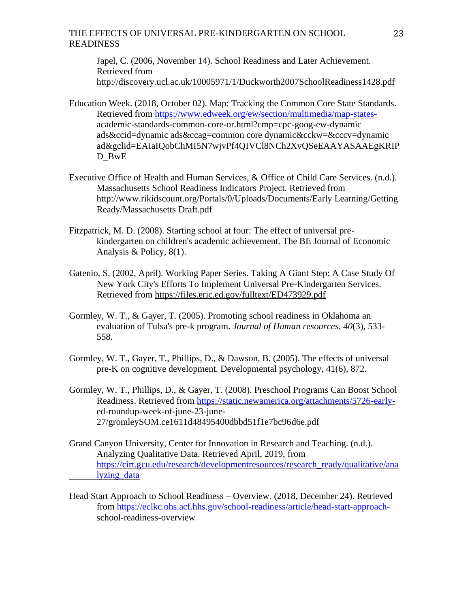Japel, C. (2006, November 14). School Readiness and Later Achievement. Retrieved from <http://discovery.ucl.ac.uk/10005971/1/Duckworth2007SchoolReadiness1428.pdf>

- Education Week. (2018, October 02). Map: Tracking the Common Core State Standards. Retrieved from [https://www.edweek.org/ew/section/multimedia/map-states](https://www.edweek.org/ew/section/multimedia/map-states-)academic-standards-common-core-or.html?cmp=cpc-goog-ew-dynamic ads&ccid=dynamic ads&ccag=common core dynamic&cckw=&cccv=dynamic ad&gclid=EAIaIQobChMI5N7wjvPf4QIVCl8NCh2XvQSeEAAYASAAEgKRIP D BwE
- Executive Office of Health and Human Services, & Office of Child Care Services. (n.d.). Massachusetts School Readiness Indicators Project. Retrieved from http://www.rikidscount.org/Portals/0/Uploads/Documents/Early Learning/Getting Ready/Massachusetts Draft.pdf
- Fitzpatrick, M. D. (2008). Starting school at four: The effect of universal prekindergarten on children's academic achievement. The BE Journal of Economic Analysis & Policy, 8(1).
- Gatenio, S. (2002, April). Working Paper Series. Taking A Giant Step: A Case Study Of New York City's Efforts To Implement Universal Pre-Kindergarten Services. Retrieved from<https://files.eric.ed.gov/fulltext/ED473929.pdf>
- Gormley, W. T., & Gayer, T. (2005). Promoting school readiness in Oklahoma an evaluation of Tulsa's pre-k program. *Journal of Human resources*, *40*(3), 533- 558.
- Gormley, W. T., Gayer, T., Phillips, D., & Dawson, B. (2005). The effects of universal pre-K on cognitive development. Developmental psychology, 41(6), 872.
- Gormley, W. T., Phillips, D., & Gayer, T. (2008). Preschool Programs Can Boost School Readiness. Retrieved from [https://static.newamerica.org/attachments/5726-early](https://static.newamerica.org/attachments/5726-early-)ed-roundup-week-of-june-23-june-27/gromleySOM.ce1611d48495400dbbd51f1e7bc96d6e.pdf
- Grand Canyon University, Center for Innovation in Research and Teaching. (n.d.). Analyzing Qualitative Data. Retrieved April, 2019, from [https://cirt.gcu.edu/research/developmentresources/research\\_ready/qualitative/ana](https://cirt.gcu.edu/research/developmentresources/research_ready/qualitative/ana%09lyzing_data) [lyzing\\_data](https://cirt.gcu.edu/research/developmentresources/research_ready/qualitative/ana%09lyzing_data)
- Head Start Approach to School Readiness Overview. (2018, December 24). Retrieved from [https://eclkc.ohs.acf.hhs.gov/school-readiness/article/head-start-approach](https://eclkc.ohs.acf.hhs.gov/school-readiness/article/head-start-approach-)school-readiness-overview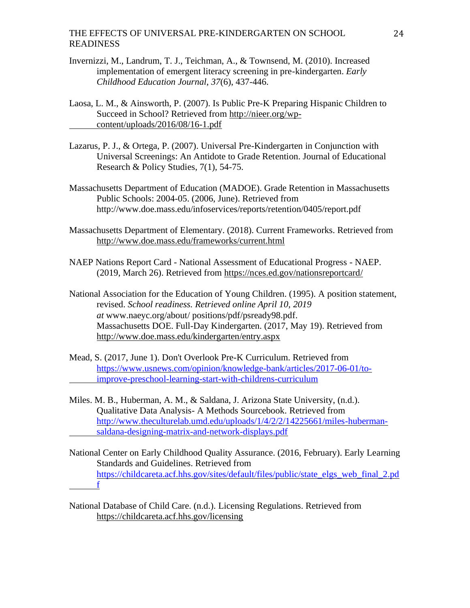- Invernizzi, M., Landrum, T. J., Teichman, A., & Townsend, M. (2010). Increased implementation of emergent literacy screening in pre-kindergarten. *Early Childhood Education Journal*, *37*(6), 437-446.
- Laosa, L. M., & Ainsworth, P. (2007). Is Public Pre-K Preparing Hispanic Children to Succeed in School? Retrieved from [http://nieer.org/wp](http://nieer.org/wp-content/uploads/2016/08/16-1.pdf)[content/uploads/2016/08/16-1.pdf](http://nieer.org/wp-content/uploads/2016/08/16-1.pdf)
- Lazarus, P. J., & Ortega, P. (2007). Universal Pre-Kindergarten in Conjunction with Universal Screenings: An Antidote to Grade Retention. Journal of Educational Research & Policy Studies, 7(1), 54-75.
- Massachusetts Department of Education (MADOE). Grade Retention in Massachusetts Public Schools: 2004-05. (2006, June). Retrieved from http://www.doe.mass.edu/infoservices/reports/retention/0405/report.pdf
- Massachusetts Department of Elementary. (2018). Current Frameworks. Retrieved from <http://www.doe.mass.edu/frameworks/current.html>
- NAEP Nations Report Card National Assessment of Educational Progress NAEP. (2019, March 26). Retrieved from<https://nces.ed.gov/nationsreportcard/>
- National Association for the Education of Young Children. (1995). A position statement, revised. *School readiness. Retrieved online April 10, 2019 at* www.naeyc.org/about/ positions/pdf/psready98.pdf. Massachusetts DOE. Full-Day Kindergarten. (2017, May 19). Retrieved from <http://www.doe.mass.edu/kindergarten/entry.aspx>
- Mead, S. (2017, June 1). Don't Overlook Pre-K Curriculum. Retrieved from [https://www.usnews.com/opinion/knowledge-bank/articles/2017-06-01/to](https://www.usnews.com/opinion/knowledge-bank/articles/2017-06-01/to-%09improve-preschool-learning-start-with-childrens-curriculum)[improve-preschool-learning-start-with-childrens-curriculum](https://www.usnews.com/opinion/knowledge-bank/articles/2017-06-01/to-%09improve-preschool-learning-start-with-childrens-curriculum)
- Miles. M. B., Huberman, A. M., & Saldana, J. Arizona State University, (n.d.). Qualitative Data Analysis- A Methods Sourcebook. Retrieved from [http://www.theculturelab.umd.edu/uploads/1/4/2/2/14225661/miles-huberman](http://www.theculturelab.umd.edu/uploads/1/4/2/2/14225661/miles-huberman-%09saldana-designing-matrix-and-network-displays.pdf)[saldana-designing-matrix-and-network-displays.pdf](http://www.theculturelab.umd.edu/uploads/1/4/2/2/14225661/miles-huberman-%09saldana-designing-matrix-and-network-displays.pdf)
- National Center on Early Childhood Quality Assurance. (2016, February). Early Learning Standards and Guidelines. Retrieved from [https://childcareta.acf.hhs.gov/sites/default/files/public/state\\_elgs\\_web\\_final\\_2.pd](https://childcareta.acf.hhs.gov/sites/default/files/public/state_elgs_web_final_2.pd%09f) [f](https://childcareta.acf.hhs.gov/sites/default/files/public/state_elgs_web_final_2.pd%09f)
- National Database of Child Care. (n.d.). Licensing Regulations. Retrieved from <https://childcareta.acf.hhs.gov/licensing>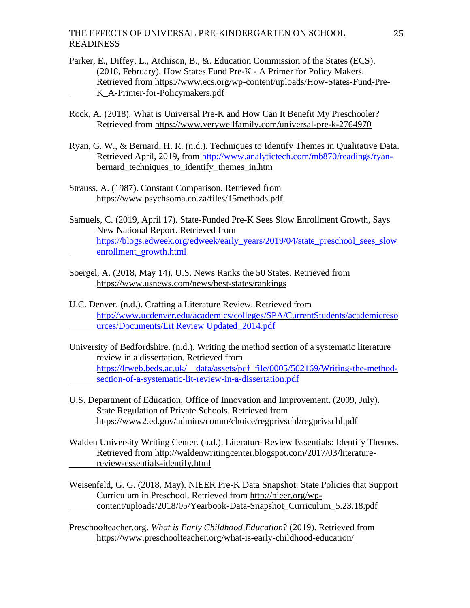- Parker, E., Diffey, L., Atchison, B., &. Education Commission of the States (ECS). (2018, February). How States Fund Pre-K - A Primer for Policy Makers. Retrieved from [https://www.ecs.org/wp-content/uploads/How-States-Fund-Pre-](https://www.ecs.org/wp-content/uploads/How-States-Fund-Pre-K_A-Primer-for-Policymakers.pdf)[K\\_A-Primer-for-Policymakers.pdf](https://www.ecs.org/wp-content/uploads/How-States-Fund-Pre-K_A-Primer-for-Policymakers.pdf)
- Rock, A. (2018). What is Universal Pre-K and How Can It Benefit My Preschooler? Retrieved from<https://www.verywellfamily.com/universal-pre-k-2764970>
- Ryan, G. W., & Bernard, H. R. (n.d.). Techniques to Identify Themes in Qualitative Data. Retrieved April, 2019, from [http://www.analytictech.com/mb870/readings/ryan](http://www.analytictech.com/mb870/readings/ryan-)bernard techniques to identify themes in.htm
- Strauss, A. (1987). Constant Comparison. Retrieved from <https://www.psychsoma.co.za/files/15methods.pdf>
- Samuels, C. (2019, April 17). State-Funded Pre-K Sees Slow Enrollment Growth, Says New National Report. Retrieved from [https://blogs.edweek.org/edweek/early\\_years/2019/04/state\\_preschool\\_sees\\_slow](https://blogs.edweek.org/edweek/early_years/2019/04/state_preschool_sees_slow%09enrollment_growth.html) [enrollment\\_growth.html](https://blogs.edweek.org/edweek/early_years/2019/04/state_preschool_sees_slow%09enrollment_growth.html)
- Soergel, A. (2018, May 14). U.S. News Ranks the 50 States. Retrieved from <https://www.usnews.com/news/best-states/rankings>
- U.C. Denver. (n.d.). Crafting a Literature Review. Retrieved from [http://www.ucdenver.edu/academics/colleges/SPA/CurrentStudents/academicreso](http://www.ucdenver.edu/academics/colleges/SPA/CurrentStudents/academicreso%09urces/Documents/Lit%20Review%20Updated_2014.pdf) [urces/Documents/Lit Review Updated\\_2014.pdf](http://www.ucdenver.edu/academics/colleges/SPA/CurrentStudents/academicreso%09urces/Documents/Lit%20Review%20Updated_2014.pdf)
- University of Bedfordshire. (n.d.). Writing the method section of a systematic literature review in a dissertation. Retrieved from [https://lrweb.beds.ac.uk/\\_\\_data/assets/pdf\\_file/0005/502169/Writing-the-method](https://lrweb.beds.ac.uk/__data/assets/pdf_file/0005/502169/Writing-the-method-%09section-of-a-systematic-lit-review-in-a-dissertation.pdf)[section-of-a-systematic-lit-review-in-a-dissertation.pdf](https://lrweb.beds.ac.uk/__data/assets/pdf_file/0005/502169/Writing-the-method-%09section-of-a-systematic-lit-review-in-a-dissertation.pdf)
- U.S. Department of Education, Office of Innovation and Improvement. (2009, July). State Regulation of Private Schools. Retrieved from https://www2.ed.gov/admins/comm/choice/regprivschl/regprivschl.pdf
- Walden University Writing Center. (n.d.). Literature Review Essentials: Identify Themes. Retrieved from [http://waldenwritingcenter.blogspot.com/2017/03/literature](http://waldenwritingcenter.blogspot.com/2017/03/literature-review-essentials-identify.html)[review-essentials-identify.html](http://waldenwritingcenter.blogspot.com/2017/03/literature-review-essentials-identify.html)
- Weisenfeld, G. G. (2018, May). NIEER Pre-K Data Snapshot: State Policies that Support Curriculum in Preschool. Retrieved from [http://nieer.org/wp](http://nieer.org/wp-content/uploads/2018/05/Yearbook-Data-Snapshot_Curriculum_5.23.18.pdf)[content/uploads/2018/05/Yearbook-Data-Snapshot\\_Curriculum\\_5.23.18.pdf](http://nieer.org/wp-content/uploads/2018/05/Yearbook-Data-Snapshot_Curriculum_5.23.18.pdf)

Preschoolteacher.org. *What is Early Childhood Education*? (2019). Retrieved from <https://www.preschoolteacher.org/what-is-early-childhood-education/>